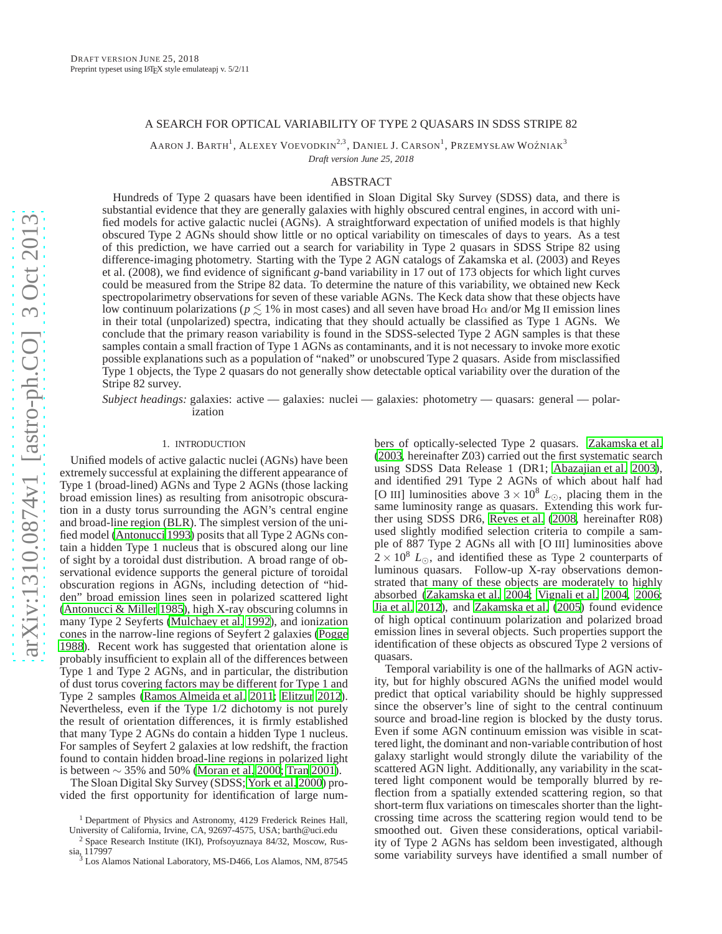### A SEARCH FOR OPTICAL VARIABILITY OF TYPE 2 QUASARS IN SDSS STRIPE 82

Aaron J. Barth<sup>1</sup>, Alexey Voevodkin<sup>2,3</sup>, Daniel J. Carson<sup>1</sup>, Przemysław Woźniak<sup>3</sup>

*Draft version June 25, 2018*

# ABSTRACT

Hundreds of Type 2 quasars have been identified in Sloan Digital Sky Survey (SDSS) data, and there is substantial evidence that they are generally galaxies with highly obscured central engines, in accord with unified models for active galactic nuclei (AGNs). A straightforward expectation of unified models is that highly obscured Type 2 AGNs should show little or no optical variability on timescales of days to years. As a test of this prediction, we have carried out a search for variability in Type 2 quasars in SDSS Stripe 82 using difference-imaging photometry. Starting with the Type 2 AGN catalogs of Zakamska et al. (2003) and Reyes et al. (2008), we find evidence of significant *g*-band variability in 17 out of 173 objects for which light curves could be measured from the Stripe 82 data. To determine the nature of this variability, we obtained new Keck spectropolarimetry observations for seven of these variable AGNs. The Keck data show that these objects have low continuum polarizations ( $p \le 1\%$  in most cases) and all seven have broad H $\alpha$  and/or Mg II emission lines in their total (unpolarized) spectra, indicating that they should actually be classified as Type 1 AGNs. We conclude that the primary reason variability is found in the SDSS-selected Type 2 AGN samples is that these samples contain a small fraction of Type 1 AGNs as contaminants, and it is not necessary to invoke more exotic possible explanations such as a population of "naked" or unobscured Type 2 quasars. Aside from misclassified Type 1 objects, the Type 2 quasars do not generally show detectable optical variability over the duration of the Stripe 82 survey.

*Subject headings:* galaxies: active — galaxies: nuclei — galaxies: photometry — quasars: general — polarization

#### 1. INTRODUCTION

Unified models of active galactic nuclei (AGNs) have been extremely successful at explaining the different appearance of Type 1 (broad-lined) AGNs and Type 2 AGNs (those lacking broad emission lines) as resulting from anisotropic obscuration in a dusty torus surrounding the AGN's central engine and broad-line region (BLR). The simplest version of the unified model [\(Antonucci 1993\)](#page-12-0) posits that all Type 2 AGNs contain a hidden Type 1 nucleus that is obscured along our line of sight by a toroidal dust distribution. A broad range of observational evidence supports the general picture of toroidal obscuration regions in AGNs, including detection of "hidden" broad emission lines seen in polarized scattered light [\(Antonucci & Miller 1985\)](#page-12-1), high X-ray obscuring columns in many Type 2 Seyferts [\(Mulchaey et al. 1992](#page-12-2)), and ionization cones in the narrow-line regions of Seyfert 2 galaxies [\(Pogge](#page-12-3) [1988\)](#page-12-3). Recent work has suggested that orientation alone is probably insufficient to explain all of the differences between Type 1 and Type 2 AGNs, and in particular, the distribution of dust torus covering factors may be different for Type 1 and Type 2 samples [\(Ramos Almeida et al. 2011;](#page-12-4) [Elitzur 2012\)](#page-12-5). Nevertheless, even if the Type 1/2 dichotomy is not purely the result of orientation differences, it is firmly established that many Type 2 AGNs do contain a hidden Type 1 nucleus. For samples of Seyfert 2 galaxies at low redshift, the fraction found to contain hidden broad-line regions in polarized light is between  $\sim$  35% and 50% [\(Moran et al. 2000](#page-12-6); [Tran 2001](#page-13-0)).

The Sloan Digital Sky Survey (SDSS; [York et al. 2000](#page-13-1)) provided the first opportunity for identification of large num-

bers of optically-selected Type 2 quasars. [Zakamska et al.](#page-13-2) [\(2003,](#page-13-2) hereinafter Z03) carried out the first systematic search using SDSS Data Release 1 (DR1; [Abazajian et al. 2003](#page-12-7)), and identified 291 Type 2 AGNs of which about half had [O III] luminosities above  $3 \times 10^8$  *L*<sub>⊙</sub>, placing them in the same luminosity range as quasars. Extending this work further using SDSS DR6, [Reyes et al.](#page-12-8) [\(2008,](#page-12-8) hereinafter R08) used slightly modified selection criteria to compile a sample of 887 Type 2 AGNs all with [O III] luminosities above  $2 \times 10^8$  *L*<sub>⊙</sub>, and identified these as Type 2 counterparts of luminous quasars. Follow-up X-ray observations demonstrated that many of these objects are moderately to highly absorbed [\(Zakamska et al. 2004;](#page-13-3) [Vignali et al. 2004](#page-13-4), [2006](#page-13-5); [Jia et al. 2012\)](#page-12-9), and [Zakamska et al.](#page-13-6) [\(2005\)](#page-13-6) found evidence of high optical continuum polarization and polarized broad emission lines in several objects. Such properties support the identification of these objects as obscured Type 2 versions of quasars.

Temporal variability is one of the hallmarks of AGN activity, but for highly obscured AGNs the unified model would predict that optical variability should be highly suppressed since the observer's line of sight to the central continuum source and broad-line region is blocked by the dusty torus. Even if some AGN continuum emission was visible in scattered light, the dominant and non-variable contribution of host galaxy starlight would strongly dilute the variability of the scattered AGN light. Additionally, any variability in the scattered light component would be temporally blurred by reflection from a spatially extended scattering region, so that short-term flux variations on timescales shorter than the lightcrossing time across the scattering region would tend to be smoothed out. Given these considerations, optical variability of Type 2 AGNs has seldom been investigated, although some variability surveys have identified a small number of

<sup>&</sup>lt;sup>1</sup> Department of Physics and Astronomy, 4129 Frederick Reines Hall, University of California, Irvine, CA, 92697-4575, USA; barth@uci.edu

<sup>2</sup> Space Research Institute (IKI), Profsoyuznaya 84/32, Moscow, Rus-

sia, 117997 <sup>3</sup> Los Alamos National Laboratory, MS-D466, Los Alamos, NM, 87545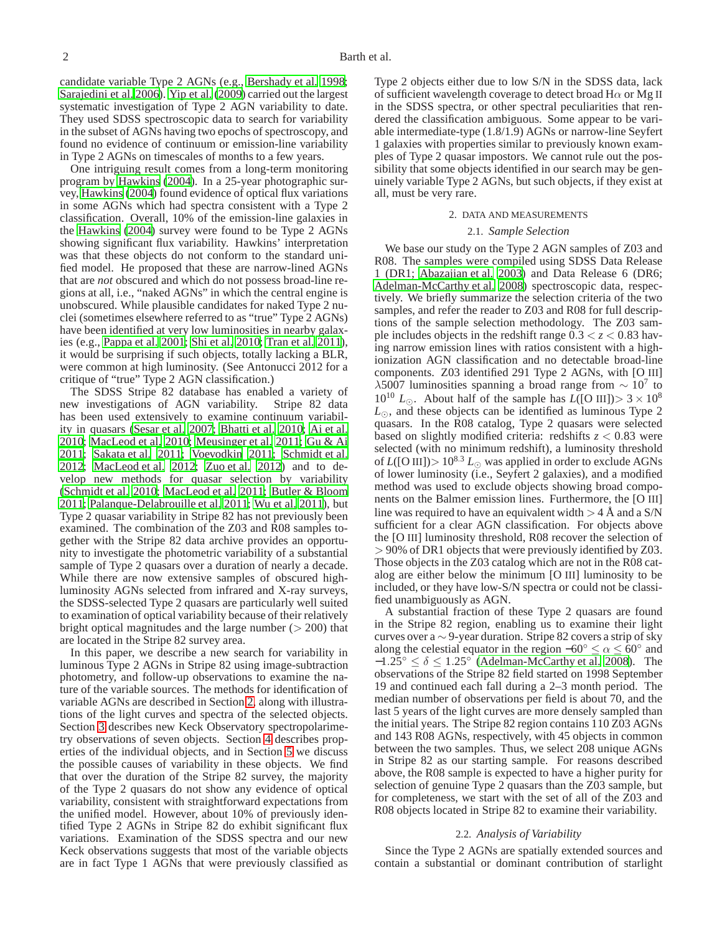candidate variable Type 2 AGNs (e.g., [Bershady et al. 1998;](#page-12-10) [Sarajedini et al. 2006\)](#page-12-11). [Yip et al. \(2009](#page-13-7)) carried out the largest systematic investigation of Type 2 AGN variability to date. They used SDSS spectroscopic data to search for variability in the subset of AGNs having two epochs of spectroscopy, and found no evidence of continuum or emission-line variability in Type 2 AGNs on timescales of months to a few years.

One intriguing result comes from a long-term monitoring program by [Hawkins \(2004\)](#page-12-12). In a 25-year photographic survey, [Hawkins \(2004\)](#page-12-12) found evidence of optical flux variations in some AGNs which had spectra consistent with a Type 2 classification. Overall, 10% of the emission-line galaxies in the [Hawkins \(2004\)](#page-12-12) survey were found to be Type 2 AGNs showing significant flux variability. Hawkins' interpretation was that these objects do not conform to the standard unified model. He proposed that these are narrow-lined AGNs that are *not* obscured and which do not possess broad-line regions at all, i.e., "naked AGNs" in which the central engine is unobscured. While plausible candidates for naked Type 2 nuclei (sometimes elsewhere referred to as "true" Type 2 AGNs) have been identified at very low luminosities in nearby galaxies (e.g., [Pappa et al. 2001;](#page-12-13) [Shi et al. 2010;](#page-12-14) [Tran et al. 2011\)](#page-13-8), it would be surprising if such objects, totally lacking a BLR, were common at high luminosity. (See Antonucci 2012 for a critique of "true" Type 2 AGN classification.)

The SDSS Stripe 82 database has enabled a variety of new investigations of AGN variability. Stripe 82 data has been used extensively to examine continuum variability in quasars [\(Sesar et al. 2007;](#page-12-15) [Bhatti et al. 2010;](#page-12-16) [Ai et al.](#page-12-17) [2010;](#page-12-17) [MacLeod et al. 2010](#page-12-18); [Meusinger et al. 2011](#page-12-19); [Gu & Ai](#page-12-20) [2011;](#page-12-20) [Sakata et al. 2011;](#page-12-21) [Voevodkin 2011](#page-13-9); [Schmidt et al.](#page-12-22) [2012;](#page-12-22) [MacLeod et al. 2012;](#page-12-23) [Zuo et al. 2012\)](#page-13-10) and to develop new methods for quasar selection by variability [\(Schmidt et al. 2010;](#page-12-24) [MacLeod et al. 2011;](#page-12-25) [Butler & Bloom](#page-12-26) [2011;](#page-12-26) [Palanque-Delabrouille et al. 2011](#page-12-27); [Wu et al. 2011\)](#page-13-11), but Type 2 quasar variability in Stripe 82 has not previously been examined. The combination of the Z03 and R08 samples together with the Stripe 82 data archive provides an opportunity to investigate the photometric variability of a substantial sample of Type 2 quasars over a duration of nearly a decade. While there are now extensive samples of obscured highluminosity AGNs selected from infrared and X-ray surveys, the SDSS-selected Type 2 quasars are particularly well suited to examination of optical variability because of their relatively bright optical magnitudes and the large number ( $> 200$ ) that are located in the Stripe 82 survey area.

In this paper, we describe a new search for variability in luminous Type 2 AGNs in Stripe 82 using image-subtraction photometry, and follow-up observations to examine the nature of the variable sources. The methods for identification of variable AGNs are described in Section [2,](#page-1-0) along with illustrations of the light curves and spectra of the selected objects. Section [3](#page-4-0) describes new Keck Observatory spectropolarimetry observations of seven objects. Section [4](#page-8-0) describes properties of the individual objects, and in Section [5](#page-10-0) we discuss the possible causes of variability in these objects. We find that over the duration of the Stripe 82 survey, the majority of the Type 2 quasars do not show any evidence of optical variability, consistent with straightforward expectations from the unified model. However, about 10% of previously identified Type 2 AGNs in Stripe 82 do exhibit significant flux variations. Examination of the SDSS spectra and our new Keck observations suggests that most of the variable objects are in fact Type 1 AGNs that were previously classified as

Type 2 objects either due to low S/N in the SDSS data, lack of sufficient wavelength coverage to detect broad  $H\alpha$  or Mg II in the SDSS spectra, or other spectral peculiarities that rendered the classification ambiguous. Some appear to be variable intermediate-type (1.8/1.9) AGNs or narrow-line Seyfert 1 galaxies with properties similar to previously known examples of Type 2 quasar impostors. We cannot rule out the possibility that some objects identified in our search may be genuinely variable Type 2 AGNs, but such objects, if they exist at all, must be very rare.

## 2. DATA AND MEASUREMENTS

### 2.1. *Sample Selection*

<span id="page-1-0"></span>We base our study on the Type 2 AGN samples of Z03 and R08. The samples were compiled using SDSS Data Release 1 (DR1; [Abazajian et al. 2003\)](#page-12-7) and Data Release 6 (DR6; [Adelman-McCarthy et al. 2008\)](#page-12-28) spectroscopic data, respectively. We briefly summarize the selection criteria of the two samples, and refer the reader to Z03 and R08 for full descriptions of the sample selection methodology. The Z03 sample includes objects in the redshift range  $0.3 < z < 0.83$  having narrow emission lines with ratios consistent with a highionization AGN classification and no detectable broad-line components. Z03 identified 291 Type 2 AGNs, with [O III]  $\lambda$ 5007 luminosities spanning a broad range from  $\sim 10^7$  to  $10^{10}$  *L*<sub> $\odot$ </sub>. About half of the sample has *L*([O III]) > 3 × 10<sup>8</sup> *L*<sub>⊙</sub>, and these objects can be identified as luminous Type 2 quasars. In the R08 catalog, Type 2 quasars were selected based on slightly modified criteria: redshifts  $z < 0.83$  were selected (with no minimum redshift), a luminosity threshold of  $L([O III]) > 10^{8.3} L_{\odot}$  was applied in order to exclude AGNs of lower luminosity (i.e., Seyfert 2 galaxies), and a modified method was used to exclude objects showing broad components on the Balmer emission lines. Furthermore, the [O III] line was required to have an equivalent width  $>$  4 Å and a S/N sufficient for a clear AGN classification. For objects above the [O III] luminosity threshold, R08 recover the selection of > 90% of DR1 objects that were previously identified by Z03. Those objects in the Z03 catalog which are not in the R08 catalog are either below the minimum [O III] luminosity to be included, or they have low-S/N spectra or could not be classified unambiguously as AGN.

A substantial fraction of these Type 2 quasars are found in the Stripe 82 region, enabling us to examine their light curves over a ∼ 9-year duration. Stripe 82 covers a strip of sky along the celestial equator in the region  $-60^{\circ} \le \alpha \le 60^{\circ}$  and  $-1.25^{\circ} \le \delta \le 1.25^{\circ}$  [\(Adelman-McCarthy et al. 2008](#page-12-28)). The observations of the Stripe 82 field started on 1998 September 19 and continued each fall during a 2–3 month period. The median number of observations per field is about 70, and the last 5 years of the light curves are more densely sampled than the initial years. The Stripe 82 region contains 110 Z03 AGNs and 143 R08 AGNs, respectively, with 45 objects in common between the two samples. Thus, we select 208 unique AGNs in Stripe 82 as our starting sample. For reasons described above, the R08 sample is expected to have a higher purity for selection of genuine Type 2 quasars than the Z03 sample, but for completeness, we start with the set of all of the Z03 and R08 objects located in Stripe 82 to examine their variability.

#### 2.2. *Analysis of Variability*

Since the Type 2 AGNs are spatially extended sources and contain a substantial or dominant contribution of starlight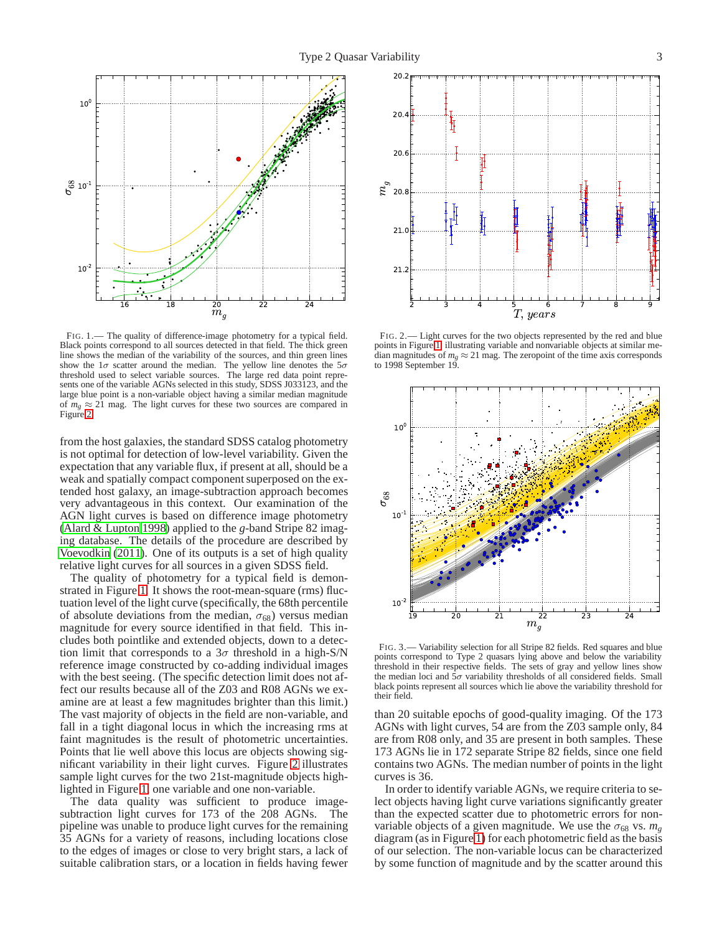

<span id="page-2-1"></span>FIG. 1.— The quality of difference-image photometry for a typical field. Black points correspond to all sources detected in that field. The thick green line shows the median of the variability of the sources, and thin green lines show the  $1\sigma$  scatter around the median. The yellow line denotes the  $5\sigma$ threshold used to select variable sources. The large red data point represents one of the variable AGNs selected in this study, SDSS J033123, and the large blue point is a non-variable object having a similar median magnitude of  $m_g \approx 21$  mag. The light curves for these two sources are compared in Figure [2.](#page-2-0)

from the host galaxies, the standard SDSS catalog photometry is not optimal for detection of low-level variability. Given the expectation that any variable flux, if present at all, should be a weak and spatially compact component superposed on the extended host galaxy, an image-subtraction approach becomes very advantageous in this context. Our examination of the AGN light curves is based on difference image photometry [\(Alard & Lupton 1998\)](#page-12-29) applied to the *g*-band Stripe 82 imaging database. The details of the procedure are described by [Voevodkin \(2011\)](#page-13-9). One of its outputs is a set of high quality relative light curves for all sources in a given SDSS field.

The quality of photometry for a typical field is demonstrated in Figure [1.](#page-2-1) It shows the root-mean-square (rms) fluctuation level of the light curve (specifically, the 68th percentile of absolute deviations from the median,  $\sigma_{68}$ ) versus median magnitude for every source identified in that field. This includes both pointlike and extended objects, down to a detection limit that corresponds to a  $3\sigma$  threshold in a high-S/N reference image constructed by co-adding individual images with the best seeing. (The specific detection limit does not affect our results because all of the Z03 and R08 AGNs we examine are at least a few magnitudes brighter than this limit.) The vast majority of objects in the field are non-variable, and fall in a tight diagonal locus in which the increasing rms at faint magnitudes is the result of photometric uncertainties. Points that lie well above this locus are objects showing significant variability in their light curves. Figure [2](#page-2-0) illustrates sample light curves for the two 21st-magnitude objects highlighted in Figure [1,](#page-2-1) one variable and one non-variable.

The data quality was sufficient to produce imagesubtraction light curves for 173 of the 208 AGNs. The pipeline was unable to produce light curves for the remaining 35 AGNs for a variety of reasons, including locations close to the edges of images or close to very bright stars, a lack of suitable calibration stars, or a location in fields having fewer



<span id="page-2-0"></span>FIG. 2.— Light curves for the two objects represented by the red and blue points in Figure [1,](#page-2-1) illustrating variable and nonvariable objects at similar median magnitudes of  $m_g \approx 21$  mag. The zeropoint of the time axis corresponds to 1998 September 19.



<span id="page-2-2"></span>FIG. 3.— Variability selection for all Stripe 82 fields. Red squares and blue points correspond to Type 2 quasars lying above and below the variability threshold in their respective fields. The sets of gray and yellow lines show the median loci and  $\bar{5}\sigma$  variability thresholds of all considered fields. Small black points represent all sources which lie above the variability threshold for their field.

than 20 suitable epochs of good-quality imaging. Of the 173 AGNs with light curves, 54 are from the Z03 sample only, 84 are from R08 only, and 35 are present in both samples. These 173 AGNs lie in 172 separate Stripe 82 fields, since one field contains two AGNs. The median number of points in the light curves is 36.

In order to identify variable AGNs, we require criteria to select objects having light curve variations significantly greater than the expected scatter due to photometric errors for nonvariable objects of a given magnitude. We use the  $\sigma_{68}$  vs.  $m_g$ diagram (as in Figure [1\)](#page-2-1) for each photometric field as the basis of our selection. The non-variable locus can be characterized by some function of magnitude and by the scatter around this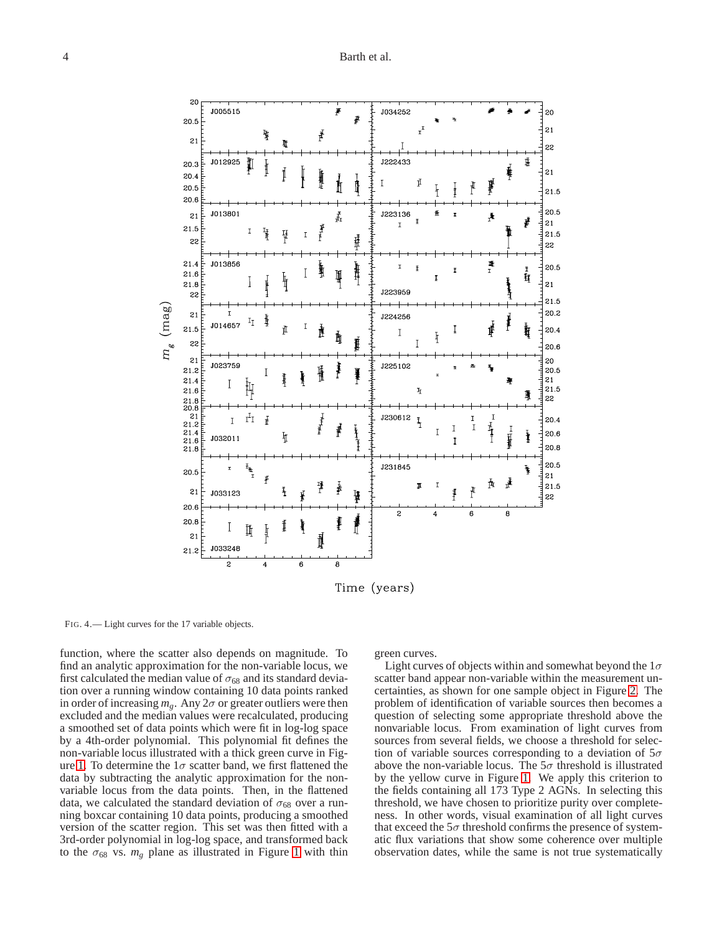

<span id="page-3-0"></span>FIG. 4.— Light curves for the 17 variable objects.

function, where the scatter also depends on magnitude. To find an analytic approximation for the non-variable locus, we first calculated the median value of  $\sigma_{68}$  and its standard deviation over a running window containing 10 data points ranked in order of increasing  $m_g$ . Any  $2\sigma$  or greater outliers were then excluded and the median values were recalculated, producing a smoothed set of data points which were fit in log-log space by a 4th-order polynomial. This polynomial fit defines the non-variable locus illustrated with a thick green curve in Fig-ure [1.](#page-2-1) To determine the  $1\sigma$  scatter band, we first flattened the data by subtracting the analytic approximation for the nonvariable locus from the data points. Then, in the flattened data, we calculated the standard deviation of  $\sigma_{68}$  over a running boxcar containing 10 data points, producing a smoothed version of the scatter region. This set was then fitted with a 3rd-order polynomial in log-log space, and transformed back to the  $\sigma_{68}$  vs.  $m_g$  plane as illustrated in Figure [1](#page-2-1) with thin green curves.

Light curves of objects within and somewhat beyond the  $1\sigma$ scatter band appear non-variable within the measurement uncertainties, as shown for one sample object in Figure [2.](#page-2-0) The problem of identification of variable sources then becomes a question of selecting some appropriate threshold above the nonvariable locus. From examination of light curves from sources from several fields, we choose a threshold for selection of variable sources corresponding to a deviation of  $5\sigma$ above the non-variable locus. The  $5\sigma$  threshold is illustrated by the yellow curve in Figure [1.](#page-2-1) We apply this criterion to the fields containing all 173 Type 2 AGNs. In selecting this threshold, we have chosen to prioritize purity over completeness. In other words, visual examination of all light curves that exceed the  $5\sigma$  threshold confirms the presence of systematic flux variations that show some coherence over multiple observation dates, while the same is not true systematically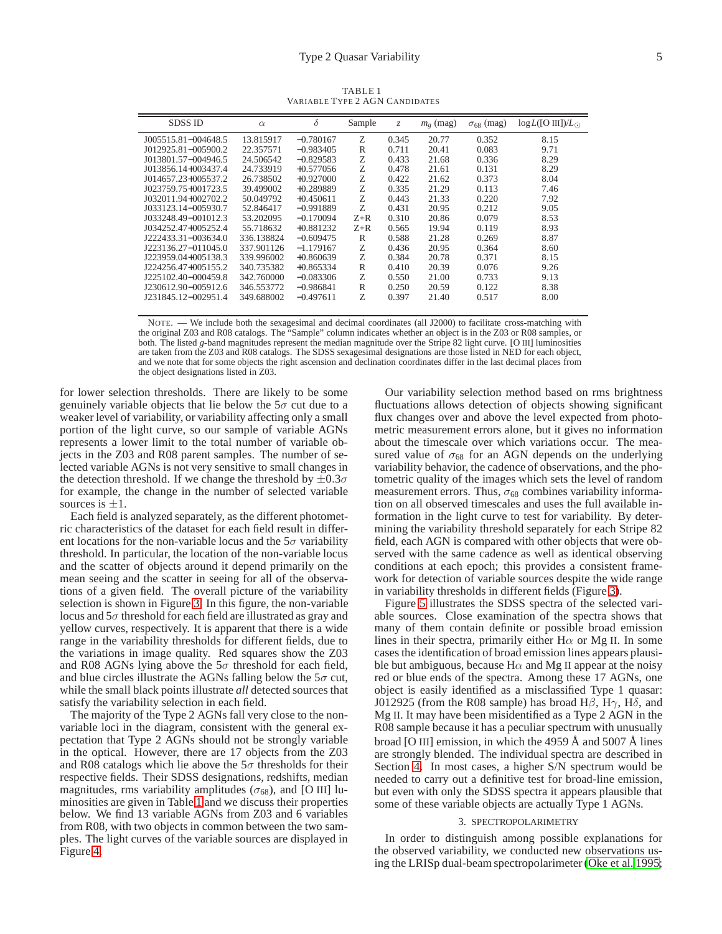TABLE 1 VARIABLE TYPE 2 AGN CANDIDATES

<span id="page-4-1"></span>

| <b>SDSS ID</b>      | $\alpha$   | $\delta$    | Sample | Z.    | $m_{\varrho}$ (mag) | $\sigma_{68}$ (mag) | $\log L([O III])/L_{\odot}$ |
|---------------------|------------|-------------|--------|-------|---------------------|---------------------|-----------------------------|
| J005515.81-004648.5 | 13.815917  | $-0.780167$ | Z      | 0.345 | 20.77               | 0.352               | 8.15                        |
| J012925.81-005900.2 | 22.357571  | $-0.983405$ | R      | 0.711 | 20.41               | 0.083               | 9.71                        |
| J013801.57-004946.5 | 24.506542  | $-0.829583$ | Z      | 0.433 | 21.68               | 0.336               | 8.29                        |
| J013856.14+003437.4 | 24.733919  | $+0.577056$ | Z      | 0.478 | 21.61               | 0.131               | 8.29                        |
| J014657.23+005537.2 | 26.738502  | $+0.927000$ | Z      | 0.422 | 21.62               | 0.373               | 8.04                        |
| J023759.75+001723.5 | 39.499002  | $+0.289889$ | Z      | 0.335 | 21.29               | 0.113               | 7.46                        |
| J032011.94+002702.2 | 50.049792  | $+0.450611$ | Z      | 0.443 | 21.33               | 0.220               | 7.92                        |
| J033123.14-005930.7 | 52.846417  | $-0.991889$ | Z      | 0.431 | 20.95               | 0.212               | 9.05                        |
| J033248.49-001012.3 | 53.202095  | $-0.170094$ | $Z+R$  | 0.310 | 20.86               | 0.079               | 8.53                        |
| J034252.47+005252.4 | 55.718632  | $+0.881232$ | $Z+R$  | 0.565 | 19.94               | 0.119               | 8.93                        |
| J222433.31-003634.0 | 336.138824 | $-0.609475$ | R      | 0.588 | 21.28               | 0.269               | 8.87                        |
| J223136.27-011045.0 | 337.901126 | $-1.179167$ | Z      | 0.436 | 20.95               | 0.364               | 8.60                        |
| J223959.04+005138.3 | 339.996002 | $+0.860639$ | Z      | 0.384 | 20.78               | 0.371               | 8.15                        |
| J224256.47+005155.2 | 340.735382 | $+0.865334$ | R      | 0.410 | 20.39               | 0.076               | 9.26                        |
| J225102.40-000459.8 | 342.760000 | $-0.083306$ | 7.     | 0.550 | 21.00               | 0.733               | 9.13                        |
| J230612.90-005912.6 | 346.553772 | $-0.986841$ | R      | 0.250 | 20.59               | 0.122               | 8.38                        |
| J231845.12-002951.4 | 349.688002 | $-0.497611$ | Z      | 0.397 | 21.40               | 0.517               | 8.00                        |

NOTE. — We include both the sexagesimal and decimal coordinates (all J2000) to facilitate cross-matching with the original Z03 and R08 catalogs. The "Sample" column indicates whether an object is in the Z03 or R08 samples, or both. The listed *g*-band magnitudes represent the median magnitude over the Stripe 82 light curve. [O III] luminosities are taken from the Z03 and R08 catalogs. The SDSS sexagesimal designations are those listed in NED for each object, and we note that for some objects the right ascension and declination coordinates differ in the last decimal places from the object designations listed in Z03.

for lower selection thresholds. There are likely to be some genuinely variable objects that lie below the  $5\sigma$  cut due to a weaker level of variability, or variability affecting only a small portion of the light curve, so our sample of variable AGNs represents a lower limit to the total number of variable objects in the Z03 and R08 parent samples. The number of selected variable AGNs is not very sensitive to small changes in the detection threshold. If we change the threshold by  $\pm 0.3\sigma$ for example, the change in the number of selected variable sources is  $\pm 1$ .

Each field is analyzed separately, as the different photometric characteristics of the dataset for each field result in different locations for the non-variable locus and the  $5\sigma$  variability threshold. In particular, the location of the non-variable locus and the scatter of objects around it depend primarily on the mean seeing and the scatter in seeing for all of the observations of a given field. The overall picture of the variability selection is shown in Figure [3.](#page-2-2) In this figure, the non-variable locus and  $5\sigma$  threshold for each field are illustrated as gray and yellow curves, respectively. It is apparent that there is a wide range in the variability thresholds for different fields, due to the variations in image quality. Red squares show the Z03 and R08 AGNs lying above the  $5\sigma$  threshold for each field, and blue circles illustrate the AGNs falling below the  $5\sigma$  cut, while the small black points illustrate *all* detected sources that satisfy the variability selection in each field.

The majority of the Type 2 AGNs fall very close to the nonvariable loci in the diagram, consistent with the general expectation that Type 2 AGNs should not be strongly variable in the optical. However, there are 17 objects from the Z03 and R08 catalogs which lie above the  $5\sigma$  thresholds for their respective fields. Their SDSS designations, redshifts, median magnitudes, rms variability amplitudes ( $\sigma_{68}$ ), and [O III] luminosities are given in Table [1](#page-4-1) and we discuss their properties below. We find 13 variable AGNs from Z03 and 6 variables from R08, with two objects in common between the two samples. The light curves of the variable sources are displayed in Figure [4.](#page-3-0)

Our variability selection method based on rms brightness fluctuations allows detection of objects showing significant flux changes over and above the level expected from photometric measurement errors alone, but it gives no information about the timescale over which variations occur. The measured value of  $\sigma_{68}$  for an AGN depends on the underlying variability behavior, the cadence of observations, and the photometric quality of the images which sets the level of random measurement errors. Thus,  $\sigma_{68}$  combines variability information on all observed timescales and uses the full available information in the light curve to test for variability. By determining the variability threshold separately for each Stripe 82 field, each AGN is compared with other objects that were observed with the same cadence as well as identical observing conditions at each epoch; this provides a consistent framework for detection of variable sources despite the wide range in variability thresholds in different fields (Figure [3\)](#page-2-2).

Figure [5](#page-6-0) illustrates the SDSS spectra of the selected variable sources. Close examination of the spectra shows that many of them contain definite or possible broad emission lines in their spectra, primarily either  $H\alpha$  or Mg II. In some cases the identification of broad emission lines appears plausible but ambiguous, because  $H\alpha$  and Mg II appear at the noisy red or blue ends of the spectra. Among these 17 AGNs, one object is easily identified as a misclassified Type 1 quasar: J012925 (from the R08 sample) has broad H $\beta$ , H $\gamma$ , H $\delta$ , and Mg II. It may have been misidentified as a Type 2 AGN in the R08 sample because it has a peculiar spectrum with unusually broad [O III] emission, in which the 4959 Å and 5007 Å lines are strongly blended. The individual spectra are described in Section [4.](#page-8-0) In most cases, a higher S/N spectrum would be needed to carry out a definitive test for broad-line emission, but even with only the SDSS spectra it appears plausible that some of these variable objects are actually Type 1 AGNs.

#### 3. SPECTROPOLARIMETRY

<span id="page-4-0"></span>In order to distinguish among possible explanations for the observed variability, we conducted new observations using the LRISp dual-beam spectropolarimeter [\(Oke et al. 1995](#page-12-30);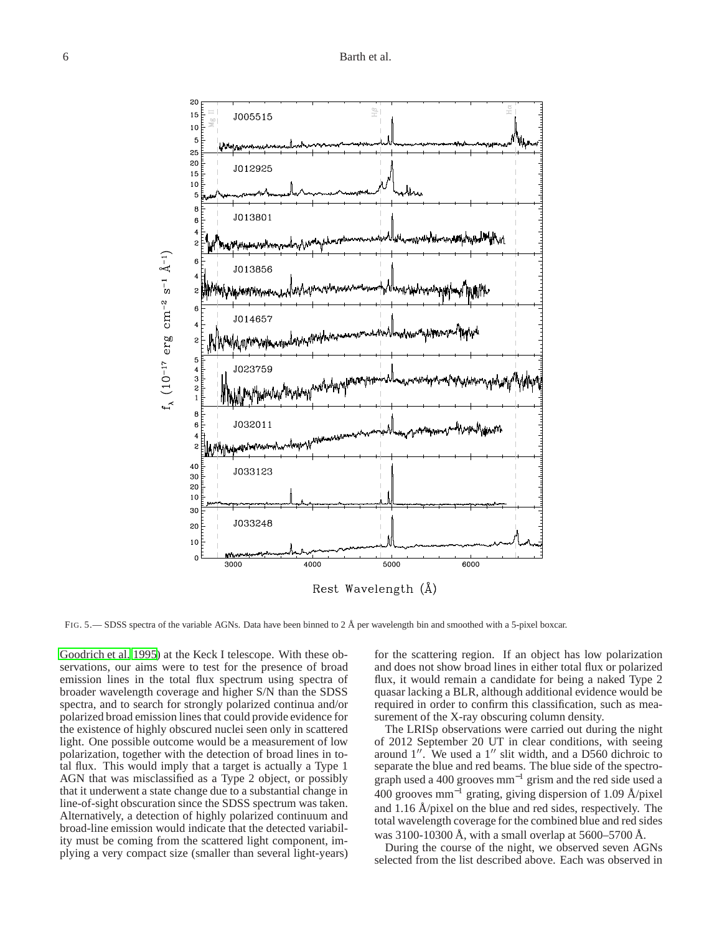# 6 Barth et al.



FIG. 5.— SDSS spectra of the variable AGNs. Data have been binned to 2 Å per wavelength bin and smoothed with a 5-pixel boxcar.

[Goodrich et al. 1995\)](#page-12-31) at the Keck I telescope. With these observations, our aims were to test for the presence of broad emission lines in the total flux spectrum using spectra of broader wavelength coverage and higher S/N than the SDSS spectra, and to search for strongly polarized continua and/or polarized broad emission lines that could provide evidence for the existence of highly obscured nuclei seen only in scattered light. One possible outcome would be a measurement of low polarization, together with the detection of broad lines in total flux. This would imply that a target is actually a Type 1 AGN that was misclassified as a Type 2 object, or possibly that it underwent a state change due to a substantial change in line-of-sight obscuration since the SDSS spectrum was taken. Alternatively, a detection of highly polarized continuum and broad-line emission would indicate that the detected variability must be coming from the scattered light component, implying a very compact size (smaller than several light-years) for the scattering region. If an object has low polarization and does not show broad lines in either total flux or polarized flux, it would remain a candidate for being a naked Type 2 quasar lacking a BLR, although additional evidence would be required in order to confirm this classification, such as measurement of the X-ray obscuring column density.

The LRISp observations were carried out during the night of 2012 September 20 UT in clear conditions, with seeing around 1′′. We used a 1′′ slit width, and a D560 dichroic to separate the blue and red beams. The blue side of the spectrograph used a 400 grooves mm<sup>−</sup><sup>1</sup> grism and the red side used a 400 grooves mm<sup>−</sup><sup>1</sup> grating, giving dispersion of 1.09 Å/pixel and 1.16 Å/pixel on the blue and red sides, respectively. The total wavelength coverage for the combined blue and red sides was 3100-10300 Å, with a small overlap at 5600–5700 Å.

During the course of the night, we observed seven AGNs selected from the list described above. Each was observed in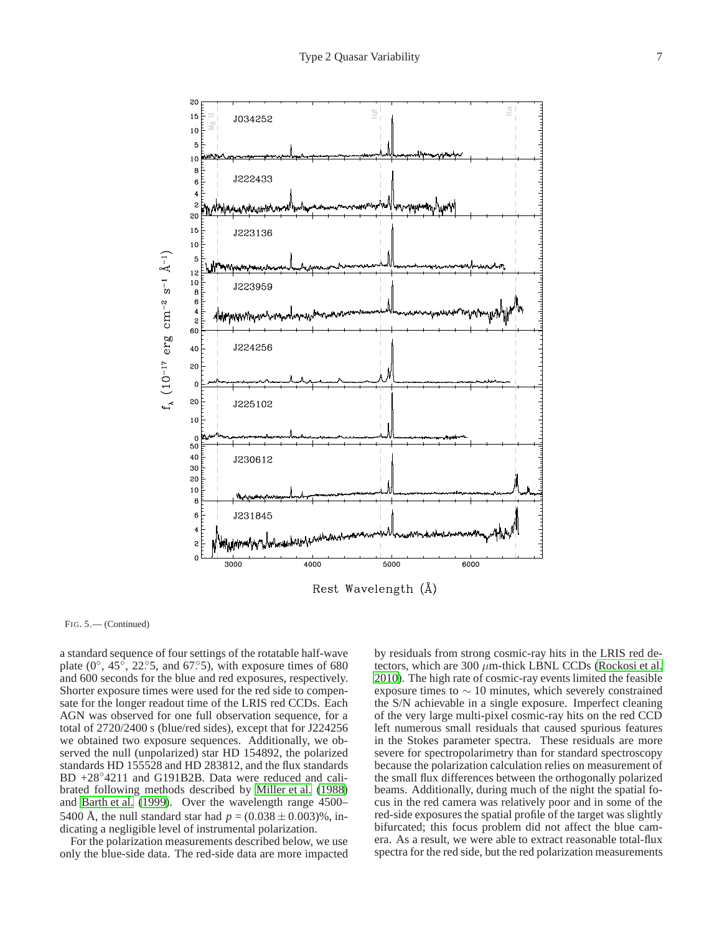

<span id="page-6-0"></span>FIG. 5.— (Continued)

a standard sequence of four settings of the rotatable half-wave plate  $(0^{\circ}, 45^{\circ}, 22^{\circ}5, \text{ and } 67^{\circ}5)$ , with exposure times of 680 and 600 seconds for the blue and red exposures, respectively. Shorter exposure times were used for the red side to compensate for the longer readout time of the LRIS red CCDs. Each AGN was observed for one full observation sequence, for a total of 2720/2400 s (blue/red sides), except that for J224256 we obtained two exposure sequences. Additionally, we observed the null (unpolarized) star HD 154892, the polarized standards HD 155528 and HD 283812, and the flux standards BD +28◦4211 and G191B2B. Data were reduced and calibrated following methods described by [Miller et al. \(1988\)](#page-12-32) and [Barth et al.](#page-12-33) [\(1999\)](#page-12-33). Over the wavelength range 4500– 5400 Å, the null standard star had  $p = (0.038 \pm 0.003)\%$ , indicating a negligible level of instrumental polarization.

For the polarization measurements described below, we use only the blue-side data. The red-side data are more impacted

by residuals from strong cosmic-ray hits in the LRIS red detectors, which are 300  $\mu$ m-thick LBNL CCDs [\(Rockosi et al.](#page-12-34) [2010\)](#page-12-34). The high rate of cosmic-ray events limited the feasible exposure times to  $\sim$  10 minutes, which severely constrained the S/N achievable in a single exposure. Imperfect cleaning of the very large multi-pixel cosmic-ray hits on the red CCD left numerous small residuals that caused spurious features in the Stokes parameter spectra. These residuals are more severe for spectropolarimetry than for standard spectroscopy because the polarization calculation relies on measurement of the small flux differences between the orthogonally polarized beams. Additionally, during much of the night the spatial focus in the red camera was relatively poor and in some of the red-side exposures the spatial profile of the target was slightly bifurcated; this focus problem did not affect the blue camera. As a result, we were able to extract reasonable total-flux spectra for the red side, but the red polarization measurements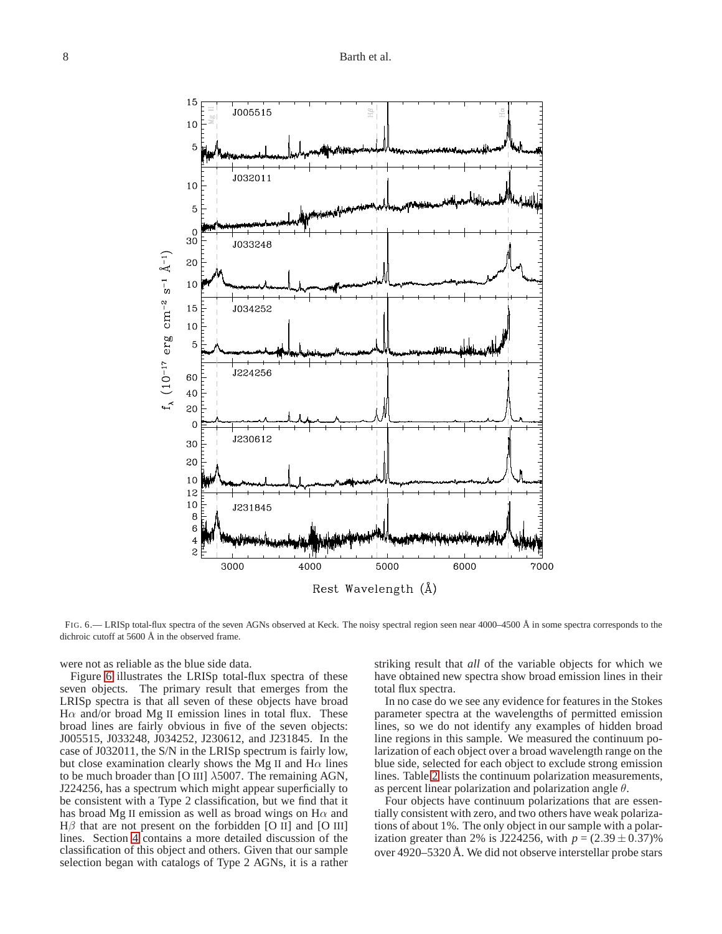

<span id="page-7-0"></span>FIG. 6.— LRISp total-flux spectra of the seven AGNs observed at Keck. The noisy spectral region seen near 4000–4500 Å in some spectra corresponds to the dichroic cutoff at 5600 Å in the observed frame.

were not as reliable as the blue side data.

Figure [6](#page-7-0) illustrates the LRISp total-flux spectra of these seven objects. The primary result that emerges from the LRISp spectra is that all seven of these objects have broad H $\alpha$  and/or broad Mg II emission lines in total flux. These broad lines are fairly obvious in five of the seven objects: J005515, J033248, J034252, J230612, and J231845. In the case of J032011, the S/N in the LRISp spectrum is fairly low, but close examination clearly shows the Mg II and  $H\alpha$  lines to be much broader than [O III]  $\lambda$ 5007. The remaining AGN, J224256, has a spectrum which might appear superficially to be consistent with a Type 2 classification, but we find that it has broad Mg II emission as well as broad wings on  $H\alpha$  and  $H\beta$  that are not present on the forbidden [O II] and [O III] lines. Section [4](#page-8-0) contains a more detailed discussion of the classification of this object and others. Given that our sample selection began with catalogs of Type 2 AGNs, it is a rather

striking result that *all* of the variable objects for which we have obtained new spectra show broad emission lines in their total flux spectra.

In no case do we see any evidence for features in the Stokes parameter spectra at the wavelengths of permitted emission lines, so we do not identify any examples of hidden broad line regions in this sample. We measured the continuum polarization of each object over a broad wavelength range on the blue side, selected for each object to exclude strong emission lines. Table [2](#page-9-0) lists the continuum polarization measurements, as percent linear polarization and polarization angle  $\theta$ .

Four objects have continuum polarizations that are essentially consistent with zero, and two others have weak polarizations of about 1%. The only object in our sample with a polarization greater than 2% is J224256, with  $p = (2.39 \pm 0.37)$ % over 4920–5320 Å. We did not observe interstellar probe stars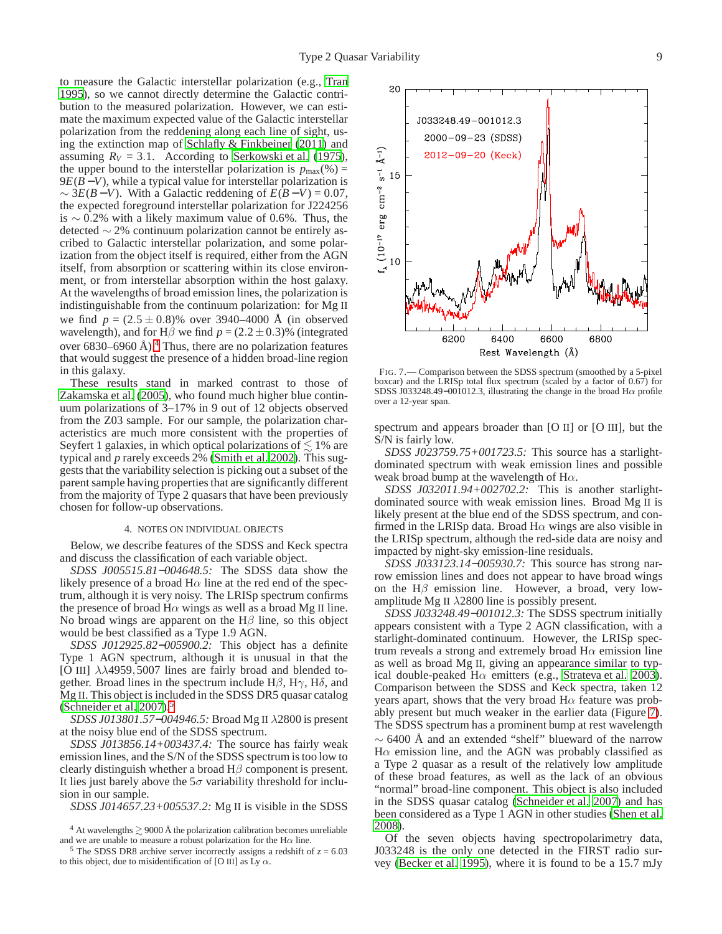to measure the Galactic interstellar polarization (e.g., [Tran](#page-13-12) [1995\)](#page-13-12), so we cannot directly determine the Galactic contribution to the measured polarization. However, we can estimate the maximum expected value of the Galactic interstellar polarization from the reddening along each line of sight, using the extinction map of [Schlafly & Finkbeiner \(2011\)](#page-12-35) and assuming  $R_V = 3.1$ . According to [Serkowski et al. \(1975\)](#page-12-36), the upper bound to the interstellar polarization is  $p_{\text{max}}(\%) =$ 9*E*(*B*−*V*), while a typical value for interstellar polarization is  $\sim$  3*E*(*B* − *V*). With a Galactic reddening of *E*(*B* − *V*) = 0.07, the expected foreground interstellar polarization for J224256 is ∼ 0.2% with a likely maximum value of 0.6%. Thus, the detected ∼ 2% continuum polarization cannot be entirely ascribed to Galactic interstellar polarization, and some polarization from the object itself is required, either from the AGN itself, from absorption or scattering within its close environment, or from interstellar absorption within the host galaxy. At the wavelengths of broad emission lines, the polarization is indistinguishable from the continuum polarization: for Mg II we find  $p = (2.5 \pm 0.8)$ % over 3940–4000 Å (in observed wavelength), and for H $\beta$  we find  $p = (2.2 \pm 0.3)$ % (integrated over 6830–6960 Å).<sup>[4](#page-8-1)</sup> Thus, there are no polarization features that would suggest the presence of a hidden broad-line region in this galaxy.

These results stand in marked contrast to those of [Zakamska et al.](#page-13-6) [\(2005\)](#page-13-6), who found much higher blue continuum polarizations of 3–17% in 9 out of 12 objects observed from the Z03 sample. For our sample, the polarization characteristics are much more consistent with the properties of Seyfert 1 galaxies, in which optical polarizations of  $\leq 1\%$  are typical and *p* rarely exceeds 2% [\(Smith et al. 2002\)](#page-12-37). This suggests that the variability selection is picking out a subset of the parent sample having properties that are significantly different from the majority of Type 2 quasars that have been previously chosen for follow-up observations.

#### 4. NOTES ON INDIVIDUAL OBJECTS

<span id="page-8-0"></span>Below, we describe features of the SDSS and Keck spectra and discuss the classification of each variable object.

*SDSS J005515.81*−*004648.5:* The SDSS data show the likely presence of a broad  $H\alpha$  line at the red end of the spectrum, although it is very noisy. The LRISp spectrum confirms the presence of broad H $\alpha$  wings as well as a broad Mg II line. No broad wings are apparent on the  $H\beta$  line, so this object would be best classified as a Type 1.9 AGN.

*SDSS J012925.82*−*005900.2:* This object has a definite Type 1 AGN spectrum, although it is unusual in that the [O III]  $\lambda\lambda$ 4959,5007 lines are fairly broad and blended together. Broad lines in the spectrum include  $H\beta$ ,  $H\gamma$ ,  $H\delta$ , and Mg II. This object is included in the SDSS DR5 quasar catalog (Schneider et al.  $2007$ ).<sup>[5](#page-8-2)</sup>

*SDSS J013801.57*−*004946.5:* Broad Mg II λ2800 is present at the noisy blue end of the SDSS spectrum.

*SDSS J013856.14+003437.4:* The source has fairly weak emission lines, and the S/N of the SDSS spectrum is too low to clearly distinguish whether a broad  $H\beta$  component is present. It lies just barely above the  $5\sigma$  variability threshold for inclusion in our sample.

*SDSS J014657.23+005537.2:* Mg II is visible in the SDSS

<span id="page-8-3"></span>FIG. 7.— Comparison between the SDSS spectrum (smoothed by a 5-pixel boxcar) and the LRISp total flux spectrum (scaled by a factor of 0.67) for SDSS J033248.49-001012.3, illustrating the change in the broad H $\alpha$  profile over a 12-year span.

spectrum and appears broader than [O II] or [O III], but the S/N is fairly low.

*SDSS J023759.75+001723.5:* This source has a starlightdominated spectrum with weak emission lines and possible weak broad bump at the wavelength of  $H\alpha$ .

*SDSS J032011.94+002702.2:* This is another starlightdominated source with weak emission lines. Broad Mg II is likely present at the blue end of the SDSS spectrum, and confirmed in the LRISp data. Broad  $H\alpha$  wings are also visible in the LRISp spectrum, although the red-side data are noisy and impacted by night-sky emission-line residuals.

*SDSS J033123.14*−*005930.7:* This source has strong narrow emission lines and does not appear to have broad wings on the  $H\beta$  emission line. However, a broad, very lowamplitude Mg II  $\lambda$ 2800 line is possibly present.

*SDSS J033248.49*−*001012.3:* The SDSS spectrum initially appears consistent with a Type 2 AGN classification, with a starlight-dominated continuum. However, the LRISp spectrum reveals a strong and extremely broad  $H\alpha$  emission line as well as broad Mg II, giving an appearance similar to typical double-peaked H $\alpha$  emitters (e.g., [Strateva et al. 2003](#page-12-39)). Comparison between the SDSS and Keck spectra, taken 12 years apart, shows that the very broad  $H\alpha$  feature was probably present but much weaker in the earlier data (Figure [7\)](#page-8-3). The SDSS spectrum has a prominent bump at rest wavelength  $\sim$  6400 Å and an extended "shelf" blueward of the narrow H $\alpha$  emission line, and the AGN was probably classified as a Type 2 quasar as a result of the relatively low amplitude of these broad features, as well as the lack of an obvious "normal" broad-line component. This object is also included in the SDSS quasar catalog [\(Schneider et al. 2007\)](#page-12-38) and has been considered as a Type 1 AGN in other studies [\(Shen et al.](#page-12-40) [2008\)](#page-12-40).

Of the seven objects having spectropolarimetry data, J033248 is the only one detected in the FIRST radio survey [\(Becker et al. 1995\)](#page-12-41), where it is found to be a 15.7 mJy



 $4$  At wavelengths  $\gtrsim$  9000 Å the polarization calibration becomes unreliable and we are unable to measure a robust polarization for the H $\alpha$  line.

<span id="page-8-2"></span><span id="page-8-1"></span><sup>&</sup>lt;sup>5</sup> The SDSS DR8 archive server incorrectly assigns a redshift of  $z = 6.03$ to this object, due to misidentification of [O III] as Ly  $\alpha$ .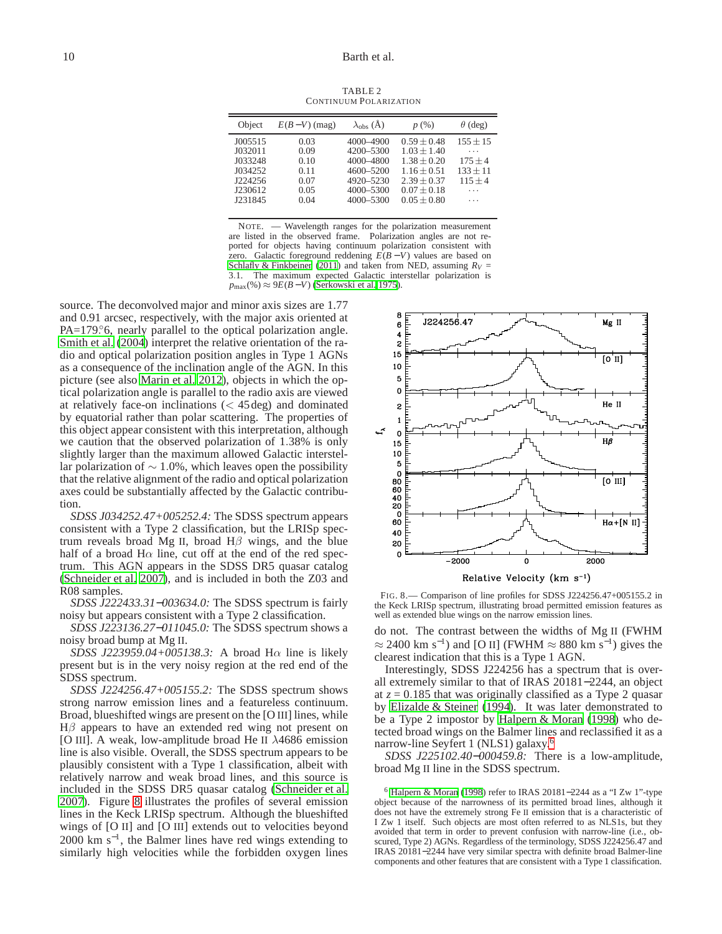TABLE 2 CONTINUUM POLARIZATION

<span id="page-9-0"></span>

| Object             | $E(B-V)$ (mag) | $\lambda_{obs}(\AA)$   | p(%)                           | $\theta$ (deg) |
|--------------------|----------------|------------------------|--------------------------------|----------------|
| J005515            | 0.03           | 4000-4900              | $0.59 + 0.48$                  | $155 + 15$     |
| J032011            | 0.09           | 4200-5300              | $1.03 + 1.40$                  |                |
| J033248            | 0.10           | 4000-4800              | $1.38 + 0.20$                  | $175 + 4$      |
| J034252            | 0.11           | 4600-5200              | $1.16 + 0.51$                  | $133 + 11$     |
| J224256            | 0.07           | 4920-5230              | $2.39 \pm 0.37$                | $115 + 4$      |
| J230612<br>J231845 | 0.05<br>0.04   | 4000-5300<br>4000-5300 | $0.07 + 0.18$<br>$0.05 + 0.80$ | .              |
|                    |                |                        |                                |                |

NOTE. — Wavelength ranges for the polarization measurement are listed in the observed frame. Polarization angles are not reported for objects having continuum polarization consistent with zero. Galactic foreground reddening  $E(B-V)$  values are based on [Schlafly & Finkbeiner](#page-12-35) [\(2011](#page-12-35)) and taken from NED, assuming  $R_V =$ 3.1. The maximum expected Galactic interstellar polarization is  $p_{\text{max}}(\%) \approx 9E(B-V)$  [\(Serkowski et al. 1975\)](#page-12-36).

source. The deconvolved major and minor axis sizes are 1.77 and 0.91 arcsec, respectively, with the major axis oriented at PA=179.<sup>o</sup>6, nearly parallel to the optical polarization angle. [Smith et al. \(2004\)](#page-12-42) interpret the relative orientation of the radio and optical polarization position angles in Type 1 AGNs as a consequence of the inclination angle of the AGN. In this picture (see also [Marin et al. 2012\)](#page-12-43), objects in which the optical polarization angle is parallel to the radio axis are viewed at relatively face-on inclinations  $(< 45 \text{ deg})$  and dominated by equatorial rather than polar scattering. The properties of this object appear consistent with this interpretation, although we caution that the observed polarization of 1.38% is only slightly larger than the maximum allowed Galactic interstellar polarization of  $\sim$  1.0%, which leaves open the possibility that the relative alignment of the radio and optical polarization axes could be substantially affected by the Galactic contribution.

*SDSS J034252.47+005252.4:* The SDSS spectrum appears consistent with a Type 2 classification, but the LRISp spectrum reveals broad Mg II, broad  $H\beta$  wings, and the blue half of a broad  $H\alpha$  line, cut off at the end of the red spectrum. This AGN appears in the SDSS DR5 quasar catalog [\(Schneider et al. 2007\)](#page-12-38), and is included in both the Z03 and R08 samples.

*SDSS J222433.31*−*003634.0:* The SDSS spectrum is fairly noisy but appears consistent with a Type 2 classification.

*SDSS J223136.27*−*011045.0:* The SDSS spectrum shows a noisy broad bump at Mg II.

*SDSS J223959.04+005138.3:* A broad Hα line is likely present but is in the very noisy region at the red end of the SDSS spectrum.

*SDSS J224256.47+005155.2:* The SDSS spectrum shows strong narrow emission lines and a featureless continuum. Broad, blueshifted wings are present on the [O III] lines, while  $H\beta$  appears to have an extended red wing not present on [O III]. A weak, low-amplitude broad He II  $\lambda$ 4686 emission line is also visible. Overall, the SDSS spectrum appears to be plausibly consistent with a Type 1 classification, albeit with relatively narrow and weak broad lines, and this source is included in the SDSS DR5 quasar catalog [\(Schneider et al.](#page-12-38) [2007\)](#page-12-38). Figure [8](#page-9-1) illustrates the profiles of several emission lines in the Keck LRISp spectrum. Although the blueshifted wings of [O II] and [O III] extends out to velocities beyond 2000 km s<sup>-1</sup>, the Balmer lines have red wings extending to similarly high velocities while the forbidden oxygen lines



<span id="page-9-1"></span>Relative Velocity (km s<sup>-1</sup>)

FIG. 8.— Comparison of line profiles for SDSS J224256.47+005155.2 in the Keck LRISp spectrum, illustrating broad permitted emission features as well as extended blue wings on the narrow emission lines.

do not. The contrast between the widths of Mg II (FWHM  $\approx$  2400 km s<sup>-1</sup>) and [O II] (FWHM  $\approx$  880 km s<sup>-1</sup>) gives the clearest indication that this is a Type 1 AGN.

Interestingly, SDSS J224256 has a spectrum that is overall extremely similar to that of IRAS 20181−2244, an object at  $z = 0.185$  that was originally classified as a Type 2 quasar by [Elizalde & Steiner \(1994\)](#page-12-44). It was later demonstrated to be a Type 2 impostor by [Halpern & Moran](#page-12-45) [\(1998\)](#page-12-45) who detected broad wings on the Balmer lines and reclassified it as a narrow-line Seyfert 1 (NLS1) galaxy.<sup>[6](#page-9-2)</sup>

*SDSS J225102.40*−*000459.8:* There is a low-amplitude, broad Mg II line in the SDSS spectrum.

<span id="page-9-2"></span><sup>6</sup> [Halpern & Moran](#page-12-45) [\(1998](#page-12-45)) refer to IRAS 20181−2244 as a "I Zw 1"-type object because of the narrowness of its permitted broad lines, although it does not have the extremely strong Fe II emission that is a characteristic of I Zw 1 itself. Such objects are most often referred to as NLS1s, but they avoided that term in order to prevent confusion with narrow-line (i.e., obscured, Type 2) AGNs. Regardless of the terminology, SDSS J224256.47 and IRAS 20181−2244 have very similar spectra with definite broad Balmer-line components and other features that are consistent with a Type 1 classification.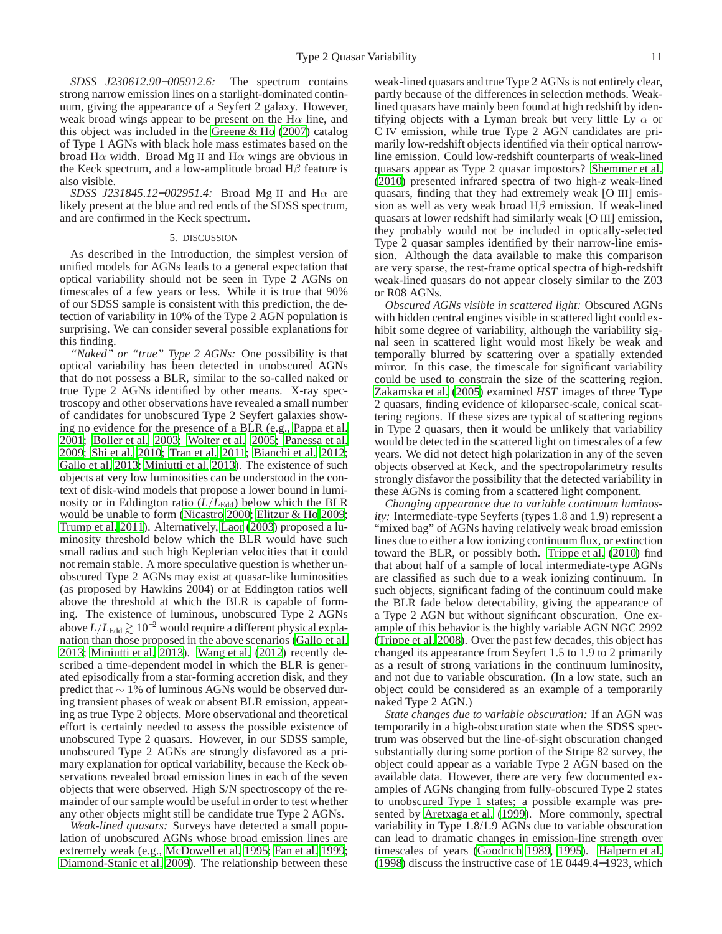*SDSS J230612.90*−*005912.6:* The spectrum contains strong narrow emission lines on a starlight-dominated continuum, giving the appearance of a Seyfert 2 galaxy. However, weak broad wings appear to be present on the  $H\alpha$  line, and this object was included in the [Greene & Ho](#page-12-46) [\(2007\)](#page-12-46) catalog of Type 1 AGNs with black hole mass estimates based on the broad H $\alpha$  width. Broad Mg II and H $\alpha$  wings are obvious in the Keck spectrum, and a low-amplitude broad  $H\beta$  feature is also visible.

*SDSS J231845.12-002951.4:* Broad Mg II and Hα are likely present at the blue and red ends of the SDSS spectrum, and are confirmed in the Keck spectrum.

#### 5. DISCUSSION

<span id="page-10-0"></span>As described in the Introduction, the simplest version of unified models for AGNs leads to a general expectation that optical variability should not be seen in Type 2 AGNs on timescales of a few years or less. While it is true that 90% of our SDSS sample is consistent with this prediction, the detection of variability in 10% of the Type 2 AGN population is surprising. We can consider several possible explanations for this finding.

*"Naked" or "true" Type 2 AGNs:* One possibility is that optical variability has been detected in unobscured AGNs that do not possess a BLR, similar to the so-called naked or true Type 2 AGNs identified by other means. X-ray spectroscopy and other observations have revealed a small number of candidates for unobscured Type 2 Seyfert galaxies showing no evidence for the presence of a BLR (e.g., [Pappa et al.](#page-12-13) [2001;](#page-12-13) [Boller et al. 2003](#page-12-47); [Wolter et al. 2005;](#page-13-13) [Panessa et al.](#page-12-48) [2009;](#page-12-48) [Shi et al. 2010;](#page-12-14) [Tran et al. 2011;](#page-13-8) [Bianchi et al. 2012;](#page-12-49) [Gallo et al. 2013](#page-12-50); [Miniutti et al. 2013\)](#page-12-51). The existence of such objects at very low luminosities can be understood in the context of disk-wind models that propose a lower bound in luminosity or in Eddington ratio  $(L/L_{\text{Edd}})$  below which the BLR would be unable to form [\(Nicastro 2000](#page-12-52); [Elitzur & Ho 2009;](#page-12-53) [Trump et al. 2011\)](#page-13-14). Alternatively, [Laor \(2003](#page-12-54)) proposed a luminosity threshold below which the BLR would have such small radius and such high Keplerian velocities that it could not remain stable. A more speculative question is whether unobscured Type 2 AGNs may exist at quasar-like luminosities (as proposed by Hawkins 2004) or at Eddington ratios well above the threshold at which the BLR is capable of forming. The existence of luminous, unobscured Type 2 AGNs above  $L/L_{\text{Edd}} \gtrsim 10^{-2}$  would require a different physical explanation than those proposed in the above scenarios [\(Gallo et al.](#page-12-50) [2013;](#page-12-50) [Miniutti et al. 2013\)](#page-12-51). [Wang et al.](#page-13-15) [\(2012\)](#page-13-15) recently described a time-dependent model in which the BLR is generated episodically from a star-forming accretion disk, and they predict that  $\sim$  1% of luminous AGNs would be observed during transient phases of weak or absent BLR emission, appearing as true Type 2 objects. More observational and theoretical effort is certainly needed to assess the possible existence of unobscured Type 2 quasars. However, in our SDSS sample, unobscured Type 2 AGNs are strongly disfavored as a primary explanation for optical variability, because the Keck observations revealed broad emission lines in each of the seven objects that were observed. High S/N spectroscopy of the remainder of our sample would be useful in order to test whether any other objects might still be candidate true Type 2 AGNs.

*Weak-lined quasars:* Surveys have detected a small population of unobscured AGNs whose broad emission lines are extremely weak (e.g., [McDowell et al. 1995;](#page-12-55) [Fan et al. 1999;](#page-12-56) [Diamond-Stanic et al. 2009\)](#page-12-57). The relationship between these

weak-lined quasars and true Type 2 AGNs is not entirely clear, partly because of the differences in selection methods. Weaklined quasars have mainly been found at high redshift by identifying objects with a Lyman break but very little Ly  $\alpha$  or C IV emission, while true Type 2 AGN candidates are primarily low-redshift objects identified via their optical narrowline emission. Could low-redshift counterparts of weak-lined quasars appear as Type 2 quasar impostors? [Shemmer et al.](#page-12-58) [\(2010\)](#page-12-58) presented infrared spectra of two high-*z* weak-lined quasars, finding that they had extremely weak [O III] emission as well as very weak broad  $H\beta$  emission. If weak-lined quasars at lower redshift had similarly weak [O III] emission, they probably would not be included in optically-selected Type 2 quasar samples identified by their narrow-line emission. Although the data available to make this comparison are very sparse, the rest-frame optical spectra of high-redshift weak-lined quasars do not appear closely similar to the Z03 or R08 AGNs.

*Obscured AGNs visible in scattered light:* Obscured AGNs with hidden central engines visible in scattered light could exhibit some degree of variability, although the variability signal seen in scattered light would most likely be weak and temporally blurred by scattering over a spatially extended mirror. In this case, the timescale for significant variability could be used to constrain the size of the scattering region. [Zakamska et al. \(2005\)](#page-13-6) examined *HST* images of three Type 2 quasars, finding evidence of kiloparsec-scale, conical scattering regions. If these sizes are typical of scattering regions in Type 2 quasars, then it would be unlikely that variability would be detected in the scattered light on timescales of a few years. We did not detect high polarization in any of the seven objects observed at Keck, and the spectropolarimetry results strongly disfavor the possibility that the detected variability in these AGNs is coming from a scattered light component.

*Changing appearance due to variable continuum luminosity:* Intermediate-type Seyferts (types 1.8 and 1.9) represent a "mixed bag" of AGNs having relatively weak broad emission lines due to either a low ionizing continuum flux, or extinction toward the BLR, or possibly both. [Trippe et al.](#page-13-16) [\(2010\)](#page-13-16) find that about half of a sample of local intermediate-type AGNs are classified as such due to a weak ionizing continuum. In such objects, significant fading of the continuum could make the BLR fade below detectability, giving the appearance of a Type 2 AGN but without significant obscuration. One example of this behavior is the highly variable AGN NGC 2992 [\(Trippe et al. 2008\)](#page-13-17). Over the past few decades, this object has changed its appearance from Seyfert 1.5 to 1.9 to 2 primarily as a result of strong variations in the continuum luminosity, and not due to variable obscuration. (In a low state, such an object could be considered as an example of a temporarily naked Type 2 AGN.)

*State changes due to variable obscuration:* If an AGN was temporarily in a high-obscuration state when the SDSS spectrum was observed but the line-of-sight obscuration changed substantially during some portion of the Stripe 82 survey, the object could appear as a variable Type 2 AGN based on the available data. However, there are very few documented examples of AGNs changing from fully-obscured Type 2 states to unobscured Type 1 states; a possible example was presented by [Aretxaga et al. \(1999\)](#page-12-59). More commonly, spectral variability in Type 1.8/1.9 AGNs due to variable obscuration can lead to dramatic changes in emission-line strength over timescales of years [\(Goodrich 1989,](#page-12-60) [1995\)](#page-12-61). [Halpern et al.](#page-12-62) [\(1998\)](#page-12-62) discuss the instructive case of 1E 0449.4−1923, which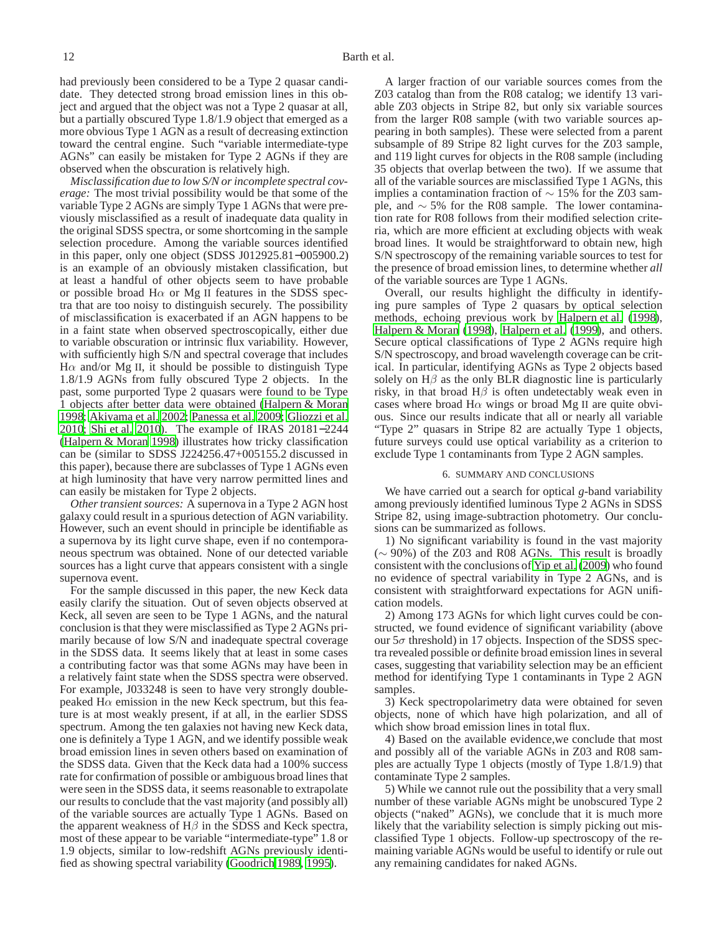had previously been considered to be a Type 2 quasar candidate. They detected strong broad emission lines in this object and argued that the object was not a Type 2 quasar at all, but a partially obscured Type 1.8/1.9 object that emerged as a more obvious Type 1 AGN as a result of decreasing extinction toward the central engine. Such "variable intermediate-type AGNs" can easily be mistaken for Type 2 AGNs if they are observed when the obscuration is relatively high.

*Misclassification due to low S/N or incomplete spectral coverage:* The most trivial possibility would be that some of the variable Type 2 AGNs are simply Type 1 AGNs that were previously misclassified as a result of inadequate data quality in the original SDSS spectra, or some shortcoming in the sample selection procedure. Among the variable sources identified in this paper, only one object (SDSS J012925.81−005900.2) is an example of an obviously mistaken classification, but at least a handful of other objects seem to have probable or possible broad H $\alpha$  or Mg II features in the SDSS spectra that are too noisy to distinguish securely. The possibility of misclassification is exacerbated if an AGN happens to be in a faint state when observed spectroscopically, either due to variable obscuration or intrinsic flux variability. However, with sufficiently high S/N and spectral coverage that includes  $H\alpha$  and/or Mg II, it should be possible to distinguish Type 1.8/1.9 AGNs from fully obscured Type 2 objects. In the past, some purported Type 2 quasars were found to be Type 1 objects after better data were obtained [\(Halpern & Moran](#page-12-45) [1998;](#page-12-45) [Akiyama et al. 2002](#page-12-63); [Panessa et al. 2009;](#page-12-48) [Gliozzi et al.](#page-12-64) [2010;](#page-12-64) [Shi et al. 2010](#page-12-14)). The example of IRAS 20181−2244 [\(Halpern & Moran 1998\)](#page-12-45) illustrates how tricky classification can be (similar to SDSS J224256.47+005155.2 discussed in this paper), because there are subclasses of Type 1 AGNs even at high luminosity that have very narrow permitted lines and can easily be mistaken for Type 2 objects.

*Other transient sources:* A supernova in a Type 2 AGN host galaxy could result in a spurious detection of AGN variability. However, such an event should in principle be identifiable as a supernova by its light curve shape, even if no contemporaneous spectrum was obtained. None of our detected variable sources has a light curve that appears consistent with a single supernova event.

For the sample discussed in this paper, the new Keck data easily clarify the situation. Out of seven objects observed at Keck, all seven are seen to be Type 1 AGNs, and the natural conclusion is that they were misclassified as Type 2 AGNs primarily because of low S/N and inadequate spectral coverage in the SDSS data. It seems likely that at least in some cases a contributing factor was that some AGNs may have been in a relatively faint state when the SDSS spectra were observed. For example, J033248 is seen to have very strongly doublepeaked  $H\alpha$  emission in the new Keck spectrum, but this feature is at most weakly present, if at all, in the earlier SDSS spectrum. Among the ten galaxies not having new Keck data, one is definitely a Type 1 AGN, and we identify possible weak broad emission lines in seven others based on examination of the SDSS data. Given that the Keck data had a 100% success rate for confirmation of possible or ambiguous broad lines that were seen in the SDSS data, it seems reasonable to extrapolate our results to conclude that the vast majority (and possibly all) of the variable sources are actually Type 1 AGNs. Based on the apparent weakness of  $H\beta$  in the SDSS and Keck spectra, most of these appear to be variable "intermediate-type" 1.8 or 1.9 objects, similar to low-redshift AGNs previously identified as showing spectral variability [\(Goodrich 1989](#page-12-60), [1995\)](#page-12-61).

A larger fraction of our variable sources comes from the Z03 catalog than from the R08 catalog; we identify 13 variable Z03 objects in Stripe 82, but only six variable sources from the larger R08 sample (with two variable sources appearing in both samples). These were selected from a parent subsample of 89 Stripe 82 light curves for the Z03 sample, and 119 light curves for objects in the R08 sample (including 35 objects that overlap between the two). If we assume that all of the variable sources are misclassified Type 1 AGNs, this implies a contamination fraction of ∼ 15% for the Z03 sample, and ∼ 5% for the R08 sample. The lower contamination rate for R08 follows from their modified selection criteria, which are more efficient at excluding objects with weak broad lines. It would be straightforward to obtain new, high S/N spectroscopy of the remaining variable sources to test for the presence of broad emission lines, to determine whether *all* of the variable sources are Type 1 AGNs.

Overall, our results highlight the difficulty in identifying pure samples of Type 2 quasars by optical selection methods, echoing previous work by [Halpern et al. \(1998](#page-12-62)), [Halpern & Moran \(1998](#page-12-45)), [Halpern et al. \(1999](#page-12-65)), and others. Secure optical classifications of Type 2 AGNs require high S/N spectroscopy, and broad wavelength coverage can be critical. In particular, identifying AGNs as Type 2 objects based solely on  $H\beta$  as the only BLR diagnostic line is particularly risky, in that broad  $H\beta$  is often undetectably weak even in cases where broad  $H\alpha$  wings or broad Mg II are quite obvious. Since our results indicate that all or nearly all variable "Type 2" quasars in Stripe 82 are actually Type 1 objects, future surveys could use optical variability as a criterion to exclude Type 1 contaminants from Type 2 AGN samples.

# 6. SUMMARY AND CONCLUSIONS

We have carried out a search for optical *g*-band variability among previously identified luminous Type 2 AGNs in SDSS Stripe 82, using image-subtraction photometry. Our conclusions can be summarized as follows.

1) No significant variability is found in the vast majority (∼ 90%) of the Z03 and R08 AGNs. This result is broadly consistent with the conclusions of [Yip et al. \(2009](#page-13-7)) who found no evidence of spectral variability in Type 2 AGNs, and is consistent with straightforward expectations for AGN unification models.

2) Among 173 AGNs for which light curves could be constructed, we found evidence of significant variability (above our  $5\sigma$  threshold) in 17 objects. Inspection of the SDSS spectra revealed possible or definite broad emission lines in several cases, suggesting that variability selection may be an efficient method for identifying Type 1 contaminants in Type 2 AGN samples.

3) Keck spectropolarimetry data were obtained for seven objects, none of which have high polarization, and all of which show broad emission lines in total flux.

4) Based on the available evidence,we conclude that most and possibly all of the variable AGNs in Z03 and R08 samples are actually Type 1 objects (mostly of Type 1.8/1.9) that contaminate Type 2 samples.

5) While we cannot rule out the possibility that a very small number of these variable AGNs might be unobscured Type 2 objects ("naked" AGNs), we conclude that it is much more likely that the variability selection is simply picking out misclassified Type 1 objects. Follow-up spectroscopy of the remaining variable AGNs would be useful to identify or rule out any remaining candidates for naked AGNs.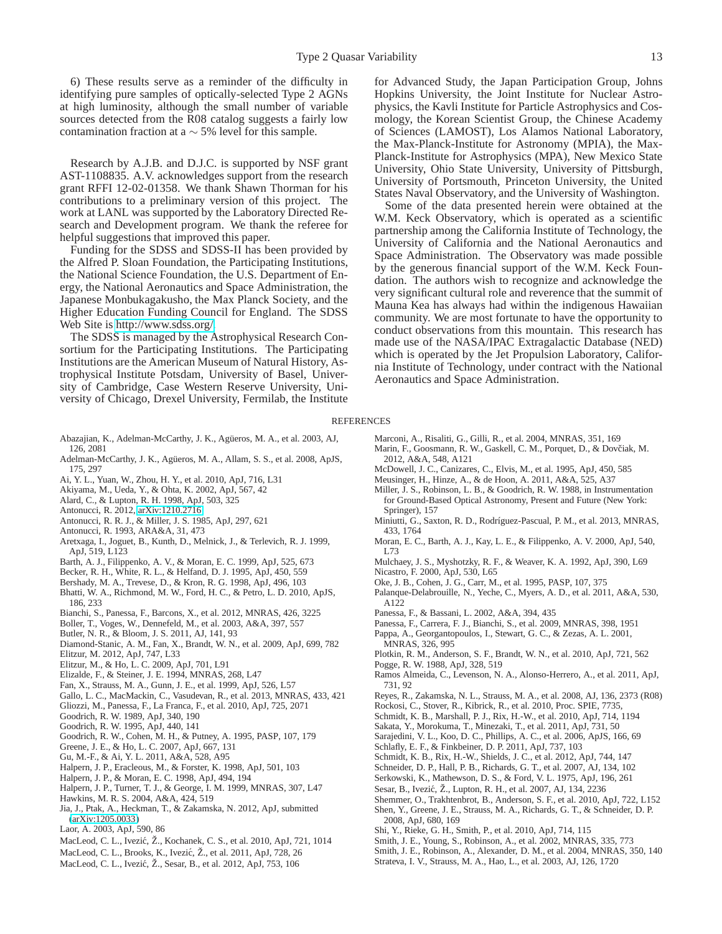6) These results serve as a reminder of the difficulty in identifying pure samples of optically-selected Type 2 AGNs at high luminosity, although the small number of variable sources detected from the R08 catalog suggests a fairly low contamination fraction at a ∼ 5% level for this sample.

Research by A.J.B. and D.J.C. is supported by NSF grant AST-1108835. A.V. acknowledges support from the research grant RFFI 12-02-01358. We thank Shawn Thorman for his contributions to a preliminary version of this project. The work at LANL was supported by the Laboratory Directed Research and Development program. We thank the referee for helpful suggestions that improved this paper.

Funding for the SDSS and SDSS-II has been provided by the Alfred P. Sloan Foundation, the Participating Institutions, the National Science Foundation, the U.S. Department of Energy, the National Aeronautics and Space Administration, the Japanese Monbukagakusho, the Max Planck Society, and the Higher Education Funding Council for England. The SDSS Web Site is [http://www.sdss.org/.](http://www.sdss.org/)

The SDSS is managed by the Astrophysical Research Consortium for the Participating Institutions. The Participating Institutions are the American Museum of Natural History, Astrophysical Institute Potsdam, University of Basel, University of Cambridge, Case Western Reserve University, University of Chicago, Drexel University, Fermilab, the Institute for Advanced Study, the Japan Participation Group, Johns Hopkins University, the Joint Institute for Nuclear Astrophysics, the Kavli Institute for Particle Astrophysics and Cosmology, the Korean Scientist Group, the Chinese Academy of Sciences (LAMOST), Los Alamos National Laboratory, the Max-Planck-Institute for Astronomy (MPIA), the Max-Planck-Institute for Astrophysics (MPA), New Mexico State University, Ohio State University, University of Pittsburgh, University of Portsmouth, Princeton University, the United States Naval Observatory, and the University of Washington.

Some of the data presented herein were obtained at the W.M. Keck Observatory, which is operated as a scientific partnership among the California Institute of Technology, the University of California and the National Aeronautics and Space Administration. The Observatory was made possible by the generous financial support of the W.M. Keck Foundation. The authors wish to recognize and acknowledge the very significant cultural role and reverence that the summit of Mauna Kea has always had within the indigenous Hawaiian community. We are most fortunate to have the opportunity to conduct observations from this mountain. This research has made use of the NASA/IPAC Extragalactic Database (NED) which is operated by the Jet Propulsion Laboratory, California Institute of Technology, under contract with the National Aeronautics and Space Administration.

#### REFERENCES

- <span id="page-12-7"></span>Abazajian, K., Adelman-McCarthy, J. K., Agüeros, M. A., et al. 2003, AJ, 126, 2081
- <span id="page-12-28"></span>Adelman-McCarthy, J. K., Agüeros, M. A., Allam, S. S., et al. 2008, ApJS, 175, 297
- <span id="page-12-17"></span>Ai, Y. L., Yuan, W., Zhou, H. Y., et al. 2010, ApJ, 716, L31
- <span id="page-12-63"></span>Akiyama, M., Ueda, Y., & Ohta, K. 2002, ApJ, 567, 42
- <span id="page-12-29"></span>Alard, C., & Lupton, R. H. 1998, ApJ, 503, 325
- Antonucci, R. 2012, [arXiv:1210.2716](http://arxiv.org/abs/1210.2716)
- <span id="page-12-1"></span>Antonucci, R. R. J., & Miller, J. S. 1985, ApJ, 297, 621
- <span id="page-12-0"></span>Antonucci, R. 1993, ARA&A, 31, 473
- <span id="page-12-59"></span>Aretxaga, I., Joguet, B., Kunth, D., Melnick, J., & Terlevich, R. J. 1999, ApJ, 519, L123
- <span id="page-12-33"></span>Barth, A. J., Filippenko, A. V., & Moran, E. C. 1999, ApJ, 525, 673
- <span id="page-12-41"></span>Becker, R. H., White, R. L., & Helfand, D. J. 1995, ApJ, 450, 559
- <span id="page-12-10"></span>Bershady, M. A., Trevese, D., & Kron, R. G. 1998, ApJ, 496, 103
- <span id="page-12-16"></span>Bhatti, W. A., Richmond, M. W., Ford, H. C., & Petro, L. D. 2010, ApJS, 186, 233
- <span id="page-12-49"></span>Bianchi, S., Panessa, F., Barcons, X., et al. 2012, MNRAS, 426, 3225
- <span id="page-12-47"></span>Boller, T., Voges, W., Dennefeld, M., et al. 2003, A&A, 397, 557
- <span id="page-12-26"></span>Butler, N. R., & Bloom, J. S. 2011, AJ, 141, 93
- <span id="page-12-57"></span>Diamond-Stanic, A. M., Fan, X., Brandt, W. N., et al. 2009, ApJ, 699, 782 Elitzur, M. 2012, ApJ, 747, L33
- <span id="page-12-53"></span><span id="page-12-5"></span>Elitzur, M., & Ho, L. C. 2009, ApJ, 701, L91
- <span id="page-12-44"></span>Elizalde, F., & Steiner, J. E. 1994, MNRAS, 268, L47
- <span id="page-12-56"></span>Fan, X., Strauss, M. A., Gunn, J. E., et al. 1999, ApJ, 526, L57
- <span id="page-12-50"></span>Gallo, L. C., MacMackin, C., Vasudevan, R., et al. 2013, MNRAS, 433, 421
- <span id="page-12-64"></span>Gliozzi, M., Panessa, F., La Franca, F., et al. 2010, ApJ, 725, 2071
- <span id="page-12-60"></span>Goodrich, R. W. 1989, ApJ, 340, 190
- <span id="page-12-61"></span>Goodrich, R. W. 1995, ApJ, 440, 141
- <span id="page-12-31"></span>Goodrich, R. W., Cohen, M. H., & Putney, A. 1995, PASP, 107, 179
- <span id="page-12-46"></span>Greene, J. E., & Ho, L. C. 2007, ApJ, 667, 131
- <span id="page-12-20"></span>Gu, M.-F., & Ai, Y. L. 2011, A&A, 528, A95
- <span id="page-12-62"></span>Halpern, J. P., Eracleous, M., & Forster, K. 1998, ApJ, 501, 103
- <span id="page-12-45"></span>Halpern, J. P., & Moran, E. C. 1998, ApJ, 494, 194
- <span id="page-12-65"></span>Halpern, J. P., Turner, T. J., & George, I. M. 1999, MNRAS, 307, L47
- <span id="page-12-12"></span>Hawkins, M. R. S. 2004, A&A, 424, 519
- <span id="page-12-9"></span>Jia, J., Ptak, A., Heckman, T., & Zakamska, N. 2012, ApJ, submitted [\(arXiv:1205.0033\)](http://arxiv.org/abs/1205.0033)
- <span id="page-12-54"></span>Laor, A. 2003, ApJ, 590, 86
- <span id="page-12-18"></span>MacLeod, C. L., Ivezic, Ž., Kochanek, C. S., et al. 2010, ApJ, 721, 1014 ´
- <span id="page-12-25"></span>MacLeod, C. L., Brooks, K., Ivezic, Ž., et al. 2011, ApJ, 728, 26 ´
- <span id="page-12-23"></span>MacLeod, C. L., Ivezic, Ž., Sesar, B., et al. 2012, ApJ, 753, 106 ´
- Marconi, A., Risaliti, G., Gilli, R., et al. 2004, MNRAS, 351, 169 Marin, F., Goosmann, R. W., Gaskell, C. M., Porquet, D., & Dovčiak, M.
- <span id="page-12-43"></span>2012, A&A, 548, A121
- <span id="page-12-55"></span>McDowell, J. C., Canizares, C., Elvis, M., et al. 1995, ApJ, 450, 585
- <span id="page-12-19"></span>Meusinger, H., Hinze, A., & de Hoon, A. 2011, A&A, 525, A37
- <span id="page-12-32"></span>Miller, J. S., Robinson, L. B., & Goodrich, R. W. 1988, in Instrumentation for Ground-Based Optical Astronomy, Present and Future (New York: Springer), 157
- <span id="page-12-51"></span>Miniutti, G., Saxton, R. D., Rodríguez-Pascual, P. M., et al. 2013, MNRAS, 433, 1764
- <span id="page-12-6"></span>Moran, E. C., Barth, A. J., Kay, L. E., & Filippenko, A. V. 2000, ApJ, 540, L73
- <span id="page-12-2"></span>Mulchaey, J. S., Myshotzky, R. F., & Weaver, K. A. 1992, ApJ, 390, L69
- <span id="page-12-52"></span>Nicastro, F. 2000, ApJ, 530, L65 Oke, J. B., Cohen, J. G., Carr, M., et al. 1995, PASP, 107, 375
- <span id="page-12-30"></span><span id="page-12-27"></span>Palanque-Delabrouille, N., Yeche, C., Myers, A. D., et al. 2011, A&A, 530, A122
- Panessa, F., & Bassani, L. 2002, A&A, 394, 435
- <span id="page-12-48"></span>Panessa, F., Carrera, F. J., Bianchi, S., et al. 2009, MNRAS, 398, 1951
- <span id="page-12-13"></span>Pappa, A., Georgantopoulos, I., Stewart, G. C., & Zezas, A. L. 2001,
- MNRAS, 326, 995
- Plotkin, R. M., Anderson, S. F., Brandt, W. N., et al. 2010, ApJ, 721, 562 Pogge, R. W. 1988, ApJ, 328, 519
- <span id="page-12-4"></span><span id="page-12-3"></span>Ramos Almeida, C., Levenson, N. A., Alonso-Herrero, A., et al. 2011, ApJ, 731, 92
- <span id="page-12-8"></span>Reyes, R., Zakamska, N. L., Strauss, M. A., et al. 2008, AJ, 136, 2373 (R08)
- <span id="page-12-34"></span>Rockosi, C., Stover, R., Kibrick, R., et al. 2010, Proc. SPIE, 7735,
- <span id="page-12-24"></span>Schmidt, K. B., Marshall, P. J., Rix, H.-W., et al. 2010, ApJ, 714, 1194
- <span id="page-12-21"></span>Sakata, Y., Morokuma, T., Minezaki, T., et al. 2011, ApJ, 731, 50
- <span id="page-12-11"></span>Sarajedini, V. L., Koo, D. C., Phillips, A. C., et al. 2006, ApJS, 166, 69
- <span id="page-12-35"></span>Schlafly, E. F., & Finkbeiner, D. P. 2011, ApJ, 737, 103
- <span id="page-12-22"></span>Schmidt, K. B., Rix, H.-W., Shields, J. C., et al. 2012, ApJ, 744, 147
- <span id="page-12-38"></span>Schneider, D. P., Hall, P. B., Richards, G. T., et al. 2007, AJ, 134, 102
- <span id="page-12-36"></span>Serkowski, K., Mathewson, D. S., & Ford, V. L. 1975, ApJ, 196, 261
- <span id="page-12-15"></span>Sesar, B., Ivezic, Ž., Lupton, R. H., et al. 2007, AJ, 134, 2236 ´
- <span id="page-12-58"></span>Shemmer, O., Trakhtenbrot, B., Anderson, S. F., et al. 2010, ApJ, 722, L152
- <span id="page-12-40"></span>Shen, Y., Greene, J. E., Strauss, M. A., Richards, G. T., & Schneider, D. P. 2008, ApJ, 680, 169
- <span id="page-12-14"></span>Shi, Y., Rieke, G. H., Smith, P., et al. 2010, ApJ, 714, 115
- <span id="page-12-37"></span>Smith, J. E., Young, S., Robinson, A., et al. 2002, MNRAS, 335, 773
- <span id="page-12-42"></span>Smith, J. E., Robinson, A., Alexander, D. M., et al. 2004, MNRAS, 350, 140
- <span id="page-12-39"></span>Strateva, I. V., Strauss, M. A., Hao, L., et al. 2003, AJ, 126, 1720